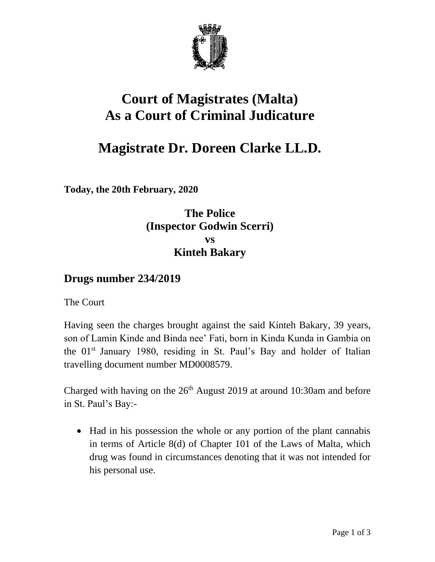

## **Court of Magistrates (Malta) As a Court of Criminal Judicature**

## **Magistrate Dr. Doreen Clarke LL.D.**

**Today, the 20th February, 2020**

## **The Police (Inspector Godwin Scerri) vs Kinteh Bakary**

## **Drugs number 234/2019**

The Court

Having seen the charges brought against the said Kinteh Bakary, 39 years, son of Lamin Kinde and Binda nee' Fati, born in Kinda Kunda in Gambia on the 01st January 1980, residing in St. Paul's Bay and holder of Italian travelling document number MD0008579.

Charged with having on the  $26<sup>th</sup>$  August 2019 at around 10:30am and before in St. Paul's Bay:-

• Had in his possession the whole or any portion of the plant cannabis in terms of Article 8(d) of Chapter 101 of the Laws of Malta, which drug was found in circumstances denoting that it was not intended for his personal use.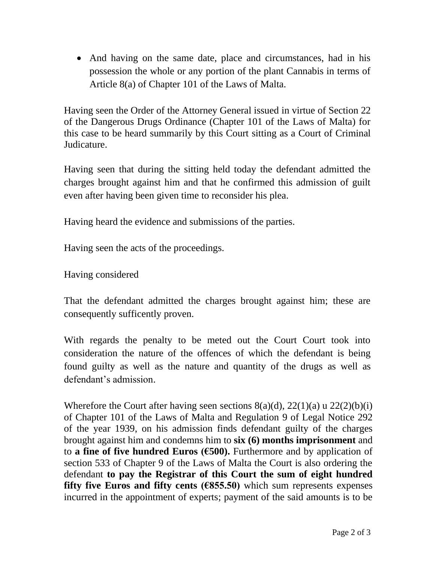• And having on the same date, place and circumstances, had in his possession the whole or any portion of the plant Cannabis in terms of Article 8(a) of Chapter 101 of the Laws of Malta.

Having seen the Order of the Attorney General issued in virtue of Section 22 of the Dangerous Drugs Ordinance (Chapter 101 of the Laws of Malta) for this case to be heard summarily by this Court sitting as a Court of Criminal Judicature.

Having seen that during the sitting held today the defendant admitted the charges brought against him and that he confirmed this admission of guilt even after having been given time to reconsider his plea.

Having heard the evidence and submissions of the parties.

Having seen the acts of the proceedings.

Having considered

That the defendant admitted the charges brought against him; these are consequently sufficently proven.

With regards the penalty to be meted out the Court Court took into consideration the nature of the offences of which the defendant is being found guilty as well as the nature and quantity of the drugs as well as defendant's admission.

Wherefore the Court after having seen sections  $8(a)(d)$ ,  $22(1)(a)$  u  $22(2)(b)(i)$ of Chapter 101 of the Laws of Malta and Regulation 9 of Legal Notice 292 of the year 1939, on his admission finds defendant guilty of the charges brought against him and condemns him to **six (6) months imprisonment** and to **a fine of five hundred Euros (€500).** Furthermore and by application of section 533 of Chapter 9 of the Laws of Malta the Court is also ordering the defendant **to pay the Registrar of this Court the sum of eight hundred fifty five Euros and fifty cents (** $\epsilon$ **855.50) which sum represents expenses** incurred in the appointment of experts; payment of the said amounts is to be